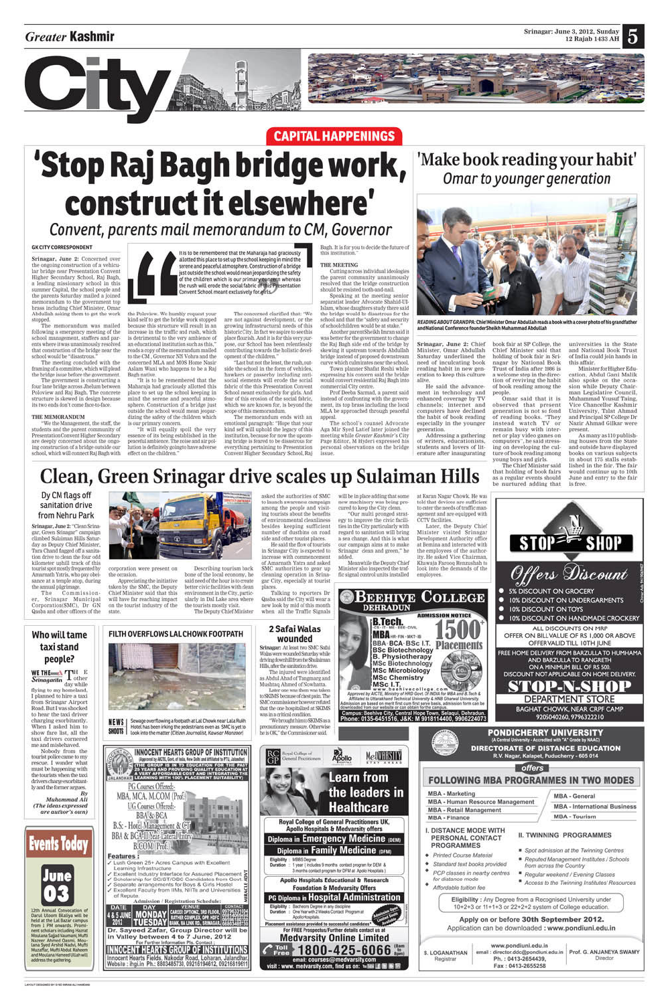### **Greater Kashmir**

5



# **CAPITAL HAPPENINGS** 'Stop Raj Bagh bridge work, construct it elsewhere'

### Convent, parents mail memorandum to CM, Governor

### **GK CITY CORRESPONDENT**

Srinagar, June 2: Concerned over the ongoing construction of a vehicular bridge near Presentation Convent Higher Secondary School, Raj Bagh, a leading missionary school in this summer Capital, the school people and the parents Saturday mailed a joined memorandum to the government top brass including Chief Minister, Omar Abdullah asking them to get the work stopped.

The memorandum was mailed following a emergency meeting of the school management, staffers and parents where it was unanimously resolved. that construction of the bridge near the school would be "disastrous."

The meeting concluded with the framing of a committee, which will plead the bridge issue before the government.

The government is constructing a four lane bridge across Jhelum between Poloview and Raj Bagh. The concrete structure is skewed in design because its two ends don't come face-to-face.

#### THE MEMORANDUM

'We the Management, the staff, the students and the parent community of Presentation Convent Higher Secondary are deeply concerned about the ongoing construction of a bridge outside our school, which will connect Raj Bagh with



the Poloview. We humbly request your kind self to get the bridge work stopped because this structure will result in an increase in the traffic and rush, which is detrimental to the very ambience of an educational institution such as this," reads a copy of the memorandum mailed to the CM, Governor NN Vohra and the concerned MLA and MOS Home Nasir Aslam Wanl who happens to be a Raj Bagh native.

"It is to be remembered that the Maharaja had graciously allotted this place to set up the school keeping in mind the serene and peaceful atmosphere. Construction of a bridge just outside the school would mean jeopardizing the safety of the children which

is our primary concern. "It will equally spoil the very ssence of its being established in the peaceful ambience. The noise and air pollution is definitely going to have adverse effect on the children.

It is to be remembered that the Maharaja had graciously allotted this place to set up the school keeping in mind the serene and peaceful atmosphere. Construction of a bridge just outside the school would mean jeopardizing the safety of the children which is our primary concern whereas<br>the rush will erode the social fabric of this Presentation Convent School meant exclusively for girls.

> The concerned clarified that: "We are not against development, or the growing infrastructural needs of this historic City. In fact we aspire to see this place flourish. And it is for this very purpose, our School has been relentlessly contributing towards the holistic development of the children."

"Last but not the least, the rush, outside the school in the form of vehicles, hawkers or passerby including antisocial elements will erode the social fabric of the this Presentation Convent School meant exclusively for girls. And fear of this erosion of the social fabric, which we are known for, is beyond the scope of this memorandum,

The memorandum ends with an emotional paragraph: "Hope that your kind self will uphold the legacy of this institution, because for now the upcoming bridge is feared to be disastrous for everything pertaining to Presentation Convent Higher Secondary School, Raj Bagh. It is for you to decide the future of this institution."

#### THE MEETING

Cutting across individual ideologies. the parent community unanimously resolved that the bridge construction should be resisted tooth-and-nail.

Speaking at the meeting senior separatist leader Advocate Shahid-Ul-Islam, whose daughters study there said the bridge would be disastrous for the school and that the "safety and security of schoolchildren would be at stake."

Another parent Sheikh Imran said it was better for the government to change the Raj Bagh side end of the bridge by skewing it upstream towards Abdullah bridge instead of proposed downstream curve which culminates near the school.

Town planner Shafat Reshi while expressing his concern said the bridge would convert residential Raj Bagh into commercial City centre. Prof Deeba Sarmad, a parent said

instead of confronting with the government, its top brass including the local MLA be approached through peaceful appeal.

The school's counsel Advocate Aga Mir Syed Latief Inter joined the meeting while Greater Kashmir's City Page Editor, M Hyderi expressed his personal observations on the bridge

### 'Make book reading your habit' Omar to younger generation



READING ABOUT GRANDPA: Chief Minister Omar Abdullah reads a book with a cover photo of his grandfather and National Conference founder Sheikh Muhammad Abdullah

Srinagar, June 2: Chief Minister, Omar Abdullah Saturday underlined the need of inculcating book reading habit in new generation to keep this culture alive.

He said the advancement in technology and enhanced coverage by TV channels; internet and computers have declined the habit of book reading especially in the younger generation.

Addressing a gathering of writers, educationists, students and lovers of literature after inaugurating

book fair at SP College, the Chief Minister said that holding of book fair in Srinagar by National Book Trust of India after 1986 is a welcome step in the direction of reviving the habit of book reading among the

people Omar said that it is observed that present generation is not so fond of reading books. "They instead watch TV or remain busy with internet or play video games on computers", he said stressing on developing the culture of book reading among young boys and girls.

The Chief Minister said

that holding of book fairs

as a regular events should

be nurtured adding that

of India could join hands in this affair. Minister for Higher Education, Abdul Gani Malik also spoke on the occa-

universities in the State

and National Book Trust

sion while Deputy Chairman Legislative Council, Muhammad Yousuf Taing. Vice Chancellor Kashmir University, Talat Ahmad and Principal SP College Dr Nazir Ahmad Gilkar were present.

As many as 110 publishing houses from the State and outside have displayed books on various subjects in about 175 stalls established in the fair. The fair would continue up to 10th June and entry to the fair is free

### Clean, Green Srinagar drive scales up Sulaiman Hills

### Dy CM flags off sanitation drive from Nehru Park



asked the authorities of SMC to launch awareness campaign among the people and visiting tourists about the benefits side and other tourist places.

will be in place adding that some new machinery was being procured to keep the City clean.

added



Later, the Deputy Chief



LAYOUT DESIGNED BY EYED RANAL ALL HAMDAN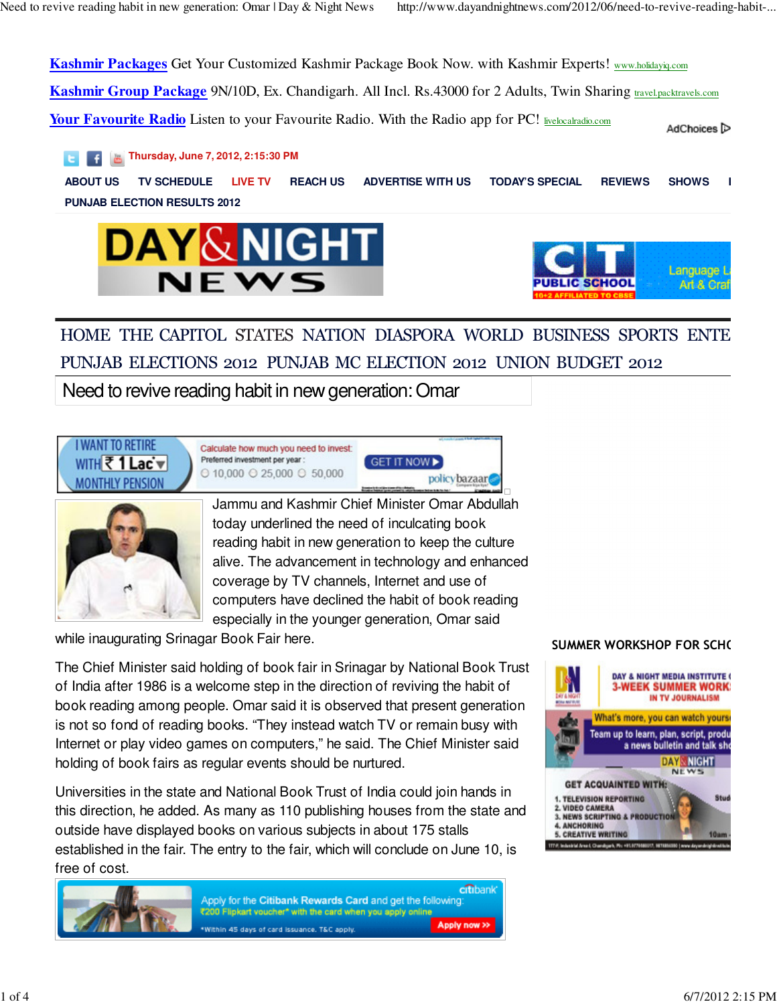**Kashmir Packages** Get Your Customized Kashmir Package Book Now. with Kashmir Experts! www.holidayiq.com

**Kashmir Group Package** 9N/10D, Ex. Chandigarh. All Incl. Rs.43000 for 2 Adults, Twin Sharing travel.packtravels.com

**Your Favourite Radio** Listen to your Favourite Radio. With the Radio app for PC! livelocalradio.com

AdChoices<sup>[></sup>

**Thursday, June 7, 2012, 2:15:30 PM**

**ABOUT US TV SCHEDULE LIVE TV REACH US ADVERTISE WITH US TODAY'S SPECIAL REVIEWS SHOWS LIVE TV 2 PUNJAB ELECTION RESULTS 2012**





### HOME THE CAPITOL STATES NATION DIASPORA WORLD BUSINESS SPORTS ENTE PUNJAB ELECTIONS 2012 PUNJAB MC ELECTION 2012 UNION BUDGET 2012

Need to revive reading habit in new generation: Omar





Jammu and Kashmir Chief Minister Omar Abdullah today underlined the need of inculcating book reading habit in new generation to keep the culture alive. The advancement in technology and enhanced coverage by TV channels, Internet and use of computers have declined the habit of book reading especially in the younger generation, Omar said

while inaugurating Srinagar Book Fair here.

The Chief Minister said holding of book fair in Srinagar by National Book Trust of India after 1986 is a welcome step in the direction of reviving the habit of book reading among people. Omar said it is observed that present generation is not so fond of reading books. "They instead watch TV or remain busy with Internet or play video games on computers," he said. The Chief Minister said holding of book fairs as regular events should be nurtured.

Universities in the state and National Book Trust of India could join hands in this direction, he added. As many as 110 publishing houses from the state and outside have displayed books on various subjects in about 175 stalls established in the fair. The entry to the fair, which will conclude on June 10, is free of cost.



### SUMMER WORKSHOP FOR SCHO

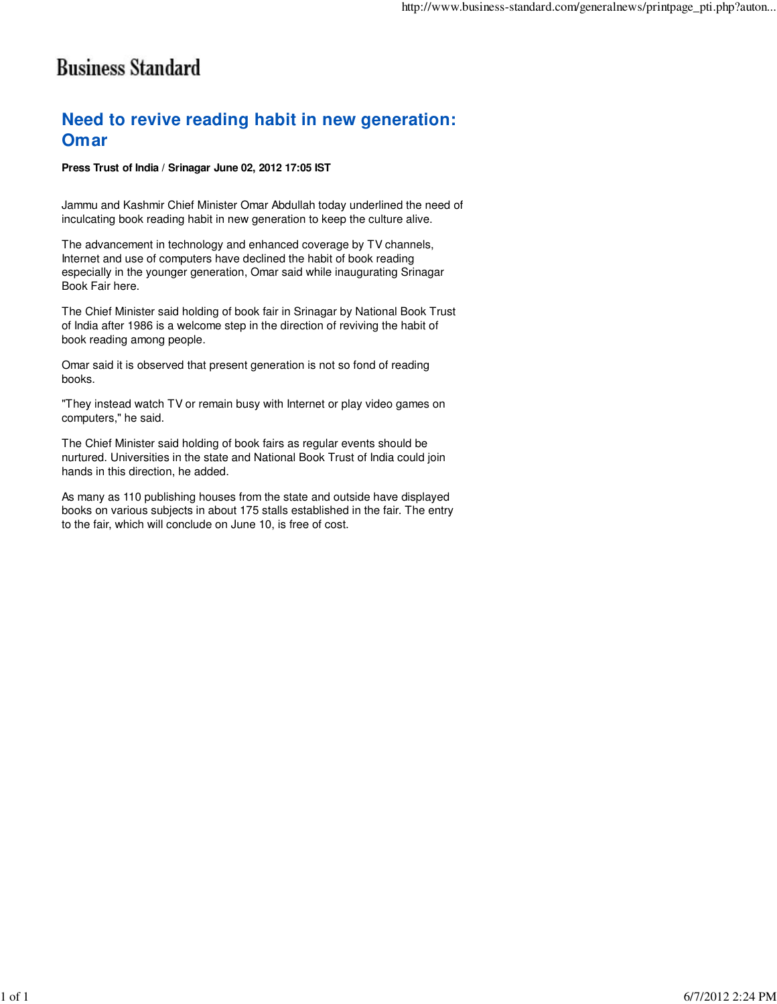### **Business Standard**

### **Need to revive reading habit in new generation: Omar**

#### **Press Trust of India / Srinagar June 02, 2012 17:05 IST**

Jammu and Kashmir Chief Minister Omar Abdullah today underlined the need of inculcating book reading habit in new generation to keep the culture alive.

The advancement in technology and enhanced coverage by TV channels, Internet and use of computers have declined the habit of book reading especially in the younger generation, Omar said while inaugurating Srinagar Book Fair here.

The Chief Minister said holding of book fair in Srinagar by National Book Trust of India after 1986 is a welcome step in the direction of reviving the habit of book reading among people.

Omar said it is observed that present generation is not so fond of reading books.

"They instead watch TV or remain busy with Internet or play video games on computers," he said.

The Chief Minister said holding of book fairs as regular events should be nurtured. Universities in the state and National Book Trust of India could join hands in this direction, he added.

As many as 110 publishing houses from the state and outside have displayed books on various subjects in about 175 stalls established in the fair. The entry to the fair, which will conclude on June 10, is free of cost.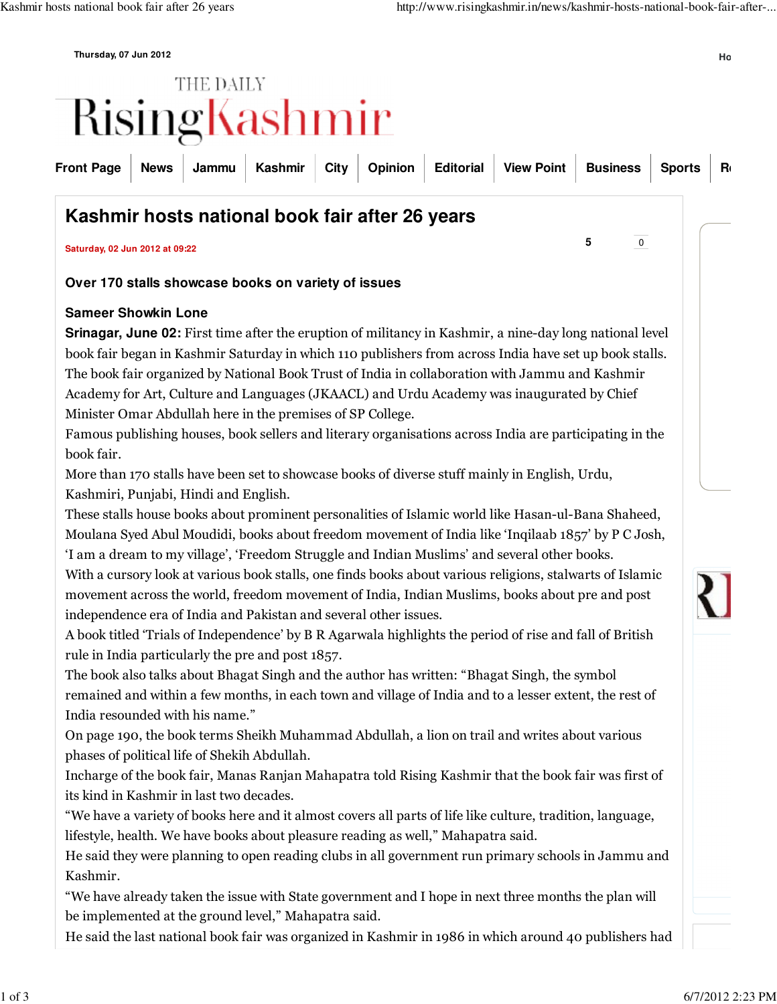**Thursday, 07 Jun 2012 Home**

# THE DAILY RisingKashmir

|  |  |  | Front Page   News   Jammu   Kashmir   City   Opinion   Editorial   View Point   Business   Sports   Ru |  |  |
|--|--|--|--------------------------------------------------------------------------------------------------------|--|--|
|  |  |  |                                                                                                        |  |  |

### **Kashmir hosts national book fair after 26 years**

**Saturday, 02 Jun 2012 at 09:22 <sup>5</sup>** <sup>0</sup>

### **Over 170 stalls showcase books on variety of issues**

### **Sameer Showkin Lone**

**Srinagar, June 02:** First time after the eruption of militancy in Kashmir, a nine-day long national level book fair began in Kashmir Saturday in which 110 publishers from across India have set up book stalls. The book fair organized by National Book Trust of India in collaboration with Jammu and Kashmir Academy for Art, Culture and Languages (JKAACL) and Urdu Academy was inaugurated by Chief Minister Omar Abdullah here in the premises of SP College.

Famous publishing houses, book sellers and literary organisations across India are participating in the book fair.

More than 170 stalls have been set to showcase books of diverse stuff mainly in English, Urdu, Kashmiri, Punjabi, Hindi and English.

These stalls house books about prominent personalities of Islamic world like Hasan-ul-Bana Shaheed, Moulana Syed Abul Moudidi, books about freedom movement of India like 'Inqilaab 1857' by P C Josh, 'I am a dream to my village', 'Freedom Struggle and Indian Muslims' and several other books.

With a cursory look at various book stalls, one finds books about various religions, stalwarts of Islamic movement across the world, freedom movement of India, Indian Muslims, books about pre and post independence era of India and Pakistan and several other issues.

A book titled 'Trials of Independence' by B R Agarwala highlights the period of rise and fall of British rule in India particularly the pre and post 1857.

The book also talks about Bhagat Singh and the author has written: "Bhagat Singh, the symbol remained and within a few months, in each town and village of India and to a lesser extent, the rest of India resounded with his name."

On page 190, the book terms Sheikh Muhammad Abdullah, a lion on trail and writes about various phases of political life of Shekih Abdullah.

Incharge of the book fair, Manas Ranjan Mahapatra told Rising Kashmir that the book fair was first of its kind in Kashmir in last two decades.

"We have a variety of books here and it almost covers all parts of life like culture, tradition, language, lifestyle, health. We have books about pleasure reading as well," Mahapatra said.

He said they were planning to open reading clubs in all government run primary schools in Jammu and Kashmir.

"We have already taken the issue with State government and I hope in next three months the plan will be implemented at the ground level," Mahapatra said.

He said the last national book fair was organized in Kashmir in 1986 in which around 40 publishers had

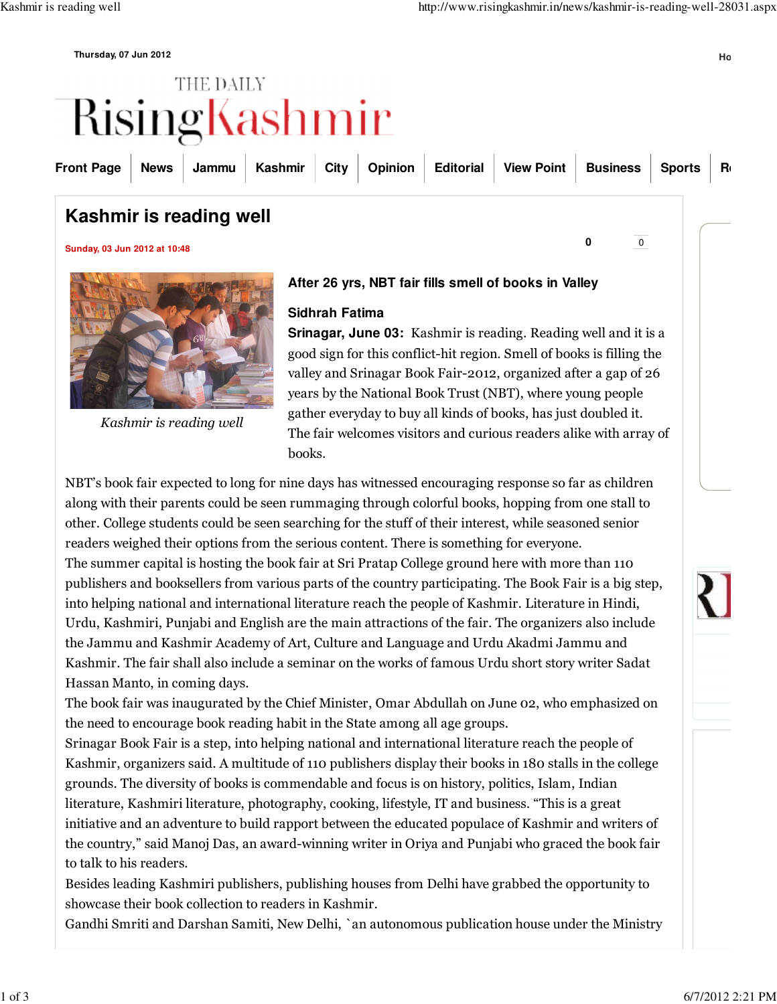**Thursday, 07 Jun 2012 Home**

# THE DAILY RisingKashmir

| Front Page   News   Jammu   Kashmir   City   Opinion   Editorial   View Point   Business   Sports   Re |  |  |  |  |  |  |
|--------------------------------------------------------------------------------------------------------|--|--|--|--|--|--|
|                                                                                                        |  |  |  |  |  |  |

### **Kashmir is reading well**

**Sunday, 03 Jun 2012 at 10:48 <sup>0</sup>** <sup>0</sup>



Kashmir is reading well

### **After 26 yrs, NBT fair fills smell of books in Valley**

### **Sidhrah Fatima**

**Srinagar, June 03:** Kashmir is reading. Reading well and it is a good sign for this conflict-hit region. Smell of books is filling the valley and Srinagar Book Fair-2012, organized after a gap of 26 years by the National Book Trust (NBT), where young people gather everyday to buy all kinds of books, has just doubled it. The fair welcomes visitors and curious readers alike with array of books.

NBT's book fair expected to long for nine days has witnessed encouraging response so far as children along with their parents could be seen rummaging through colorful books, hopping from one stall to other. College students could be seen searching for the stuff of their interest, while seasoned senior readers weighed their options from the serious content. There is something for everyone. The summer capital is hosting the book fair at Sri Pratap College ground here with more than 110 publishers and booksellers from various parts of the country participating. The Book Fair is a big step, into helping national and international literature reach the people of Kashmir. Literature in Hindi, Urdu, Kashmiri, Punjabi and English are the main attractions of the fair. The organizers also include the Jammu and Kashmir Academy of Art, Culture and Language and Urdu Akadmi Jammu and Kashmir. The fair shall also include a seminar on the works of famous Urdu short story writer Sadat Hassan Manto, in coming days.

The book fair was inaugurated by the Chief Minister, Omar Abdullah on June 02, who emphasized on the need to encourage book reading habit in the State among all age groups.

Srinagar Book Fair is a step, into helping national and international literature reach the people of Kashmir, organizers said. A multitude of 110 publishers display their books in 180 stalls in the college grounds. The diversity of books is commendable and focus is on history, politics, Islam, Indian literature, Kashmiri literature, photography, cooking, lifestyle, IT and business. "This is a great initiative and an adventure to build rapport between the educated populace of Kashmir and writers of the country," said Manoj Das, an award-winning writer in Oriya and Punjabi who graced the book fair to talk to his readers.

Besides leading Kashmiri publishers, publishing houses from Delhi have grabbed the opportunity to showcase their book collection to readers in Kashmir.

Gandhi Smriti and Darshan Samiti, New Delhi, `an autonomous publication house under the Ministry